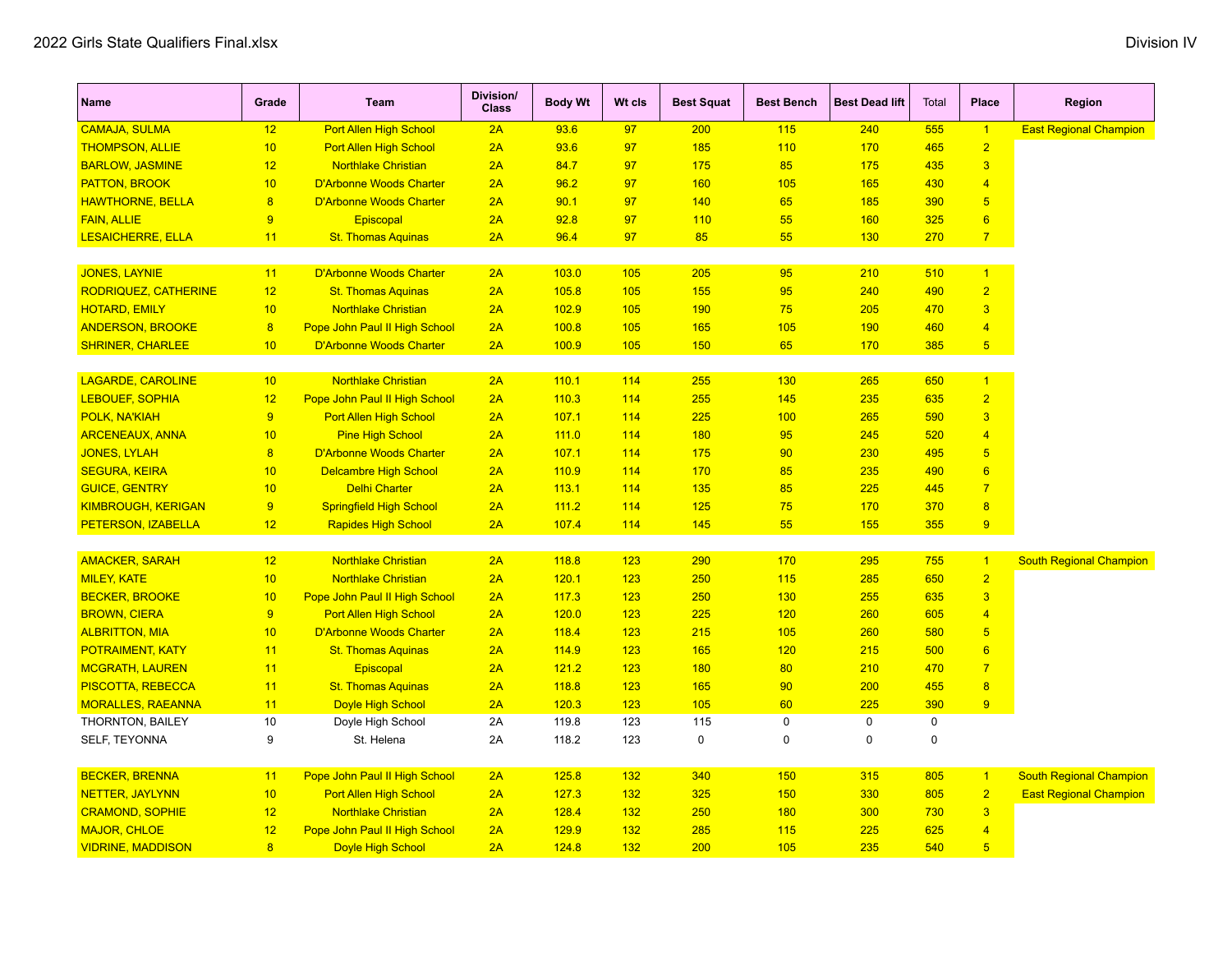| <b>CAMAJA, SULMA</b><br>12<br><b>Port Allen High School</b><br>2A<br>93.6<br>97<br>200<br>115<br>240<br>555<br>$\mathbf{1}$                           | <b>East Regional Champion</b>  |
|-------------------------------------------------------------------------------------------------------------------------------------------------------|--------------------------------|
|                                                                                                                                                       |                                |
| $\overline{2}$<br>10<br>2A<br>110<br>170<br>465<br><b>THOMPSON, ALLIE</b><br><b>Port Allen High School</b><br>93.6<br>97<br>185                       |                                |
| 85<br>$\overline{3}$<br><b>BARLOW, JASMINE</b><br>12<br><b>Northlake Christian</b><br>2A<br>84.7<br>97<br>175<br>175<br>435                           |                                |
| <b>PATTON, BROOK</b><br>10<br><b>D'Arbonne Woods Charter</b><br>2A<br>96.2<br>97<br>160<br>105<br>165<br>430<br>$\overline{4}$                        |                                |
| $\overline{\mathbf{8}}$<br><b>D'Arbonne Woods Charter</b><br>2A<br>90.1<br>140<br>65<br>185<br>390<br>$\overline{5}$<br><b>HAWTHORNE, BELLA</b><br>97 |                                |
| $6\phantom{a}$<br>55<br>325<br><b>FAIN, ALLIE</b><br>9<br>2A<br>92.8<br>97<br>110<br>160<br><b>Episcopal</b>                                          |                                |
| 85<br>55<br>270<br>$\overline{7}$<br><b>LESAICHERRE, ELLA</b><br>11<br><b>St. Thomas Aquinas</b><br>2A<br>96.4<br>97<br>130                           |                                |
|                                                                                                                                                       |                                |
| <b>D'Arbonne Woods Charter</b><br><b>JONES, LAYNIE</b><br>103.0<br>105<br>205<br>95<br>210<br>510<br>11<br>2A<br>$\overline{1}$                       |                                |
| 95<br>$\overline{2}$<br><b>RODRIQUEZ, CATHERINE</b><br>12<br>2A<br>105.8<br>105<br>155<br>240<br>490<br><b>St. Thomas Aquinas</b>                     |                                |
| 10<br>75<br>$\overline{3}$<br><b>HOTARD, EMILY</b><br><b>Northlake Christian</b><br>2A<br>102.9<br>105<br>190<br>205<br>470                           |                                |
| 8<br><b>ANDERSON, BROOKE</b><br>Pope John Paul II High School<br>2A<br>100.8<br>105<br>165<br>105<br>190<br>460<br>$\overline{4}$                     |                                |
| <b>SHRINER, CHARLEE</b><br>10<br><b>D'Arbonne Woods Charter</b><br>2A<br>100.9<br>105<br>150<br>65<br>170<br>385<br>5 <sub>5</sub>                    |                                |
| <b>LAGARDE, CAROLINE</b><br><b>Northlake Christian</b><br>10<br>2A<br>110.1<br>114<br>255<br>130<br>265<br>650<br>$\mathbf{1}$                        |                                |
| <b>LEBOUEF, SOPHIA</b><br>12<br>Pope John Paul II High School<br>2A<br>110.3<br>114<br>255<br>145<br>235<br>635<br>$\overline{2}$                     |                                |
| $\overline{9}$<br>225<br>$\overline{3}$<br><b>Port Allen High School</b><br>2A<br>107.1<br>114<br>100<br>265<br>590<br><b>POLK, NA'KIAH</b>           |                                |
| <b>ARCENEAUX, ANNA</b><br>10<br><b>Pine High School</b><br>2A<br>111.0<br>114<br>180<br>95<br>245<br>520<br>$\overline{4}$                            |                                |
| <b>JONES, LYLAH</b><br>8<br><b>D'Arbonne Woods Charter</b><br>2A<br>114<br>175<br>90<br>230<br>495<br>$\sqrt{5}$<br>107.1                             |                                |
| 10<br><b>Delcambre High School</b><br>2A<br>114<br>170<br>85<br>235<br>490<br>6<br><b>SEGURA, KEIRA</b><br>110.9                                      |                                |
| $\overline{7}$<br><b>GUICE, GENTRY</b><br>10<br><b>Delhi Charter</b><br>2A<br>114<br>135<br>85<br>225<br>445<br>113.1                                 |                                |
| 75<br>$\overline{8}$<br>9<br><b>Springfield High School</b><br>2A<br>111.2<br>114<br>125<br>170<br>370<br><b>KIMBROUGH, KERIGAN</b>                   |                                |
| 145<br>55<br>9<br>12<br>2A<br>107.4<br>114<br>155<br>355<br>PETERSON, IZABELLA<br><b>Rapides High School</b>                                          |                                |
|                                                                                                                                                       |                                |
| <b>AMACKER, SARAH</b><br>12<br><b>Northlake Christian</b><br>118.8<br>290<br>170<br>295<br>755<br>$\overline{1}$<br>2A<br>123                         | <b>South Regional Champion</b> |
| $\overline{2}$<br><b>MILEY, KATE</b><br>10<br><b>Northlake Christian</b><br>2A<br>123<br>250<br>115<br>285<br>650<br>120.1                            |                                |
| $\overline{3}$<br><b>BECKER, BROOKE</b><br>10<br>123<br>250<br>130<br>255<br>635<br>Pope John Paul II High School<br>2A<br>117.3                      |                                |
| 9<br>Port Allen High School<br>120.0<br>123<br>225<br>120<br>260<br>605<br>$\overline{4}$<br><b>BROWN, CIERA</b><br>2A                                |                                |
| 215<br>$\overline{5}$<br>10<br><b>D'Arbonne Woods Charter</b><br>118.4<br>123<br>105<br>260<br>580<br><b>ALBRITTON, MIA</b><br>2A                     |                                |
| 11<br>2A<br>114.9<br>123<br>165<br>120<br>215<br>500<br>$6\phantom{1}6$<br><b>POTRAIMENT, KATY</b><br><b>St. Thomas Aquinas</b>                       |                                |
| 11<br>2A<br>121.2<br>123<br>180<br>80<br>210<br>470<br>$\overline{7}$<br><b>MCGRATH, LAUREN</b><br>Episcopal                                          |                                |
| 123<br>165<br>90<br>200<br>455<br>8<br><b>PISCOTTA, REBECCA</b><br>11<br><b>St. Thomas Aquinas</b><br>2A<br>118.8                                     |                                |
| 60<br>225<br><b>MORALLES, RAEANNA</b><br>11<br><b>Doyle High School</b><br>2A<br>120.3<br>123<br>105<br>390<br>9                                      |                                |
| 10<br>115<br>$\mathbf 0$<br>$\mathbf 0$<br>$\mathbf 0$<br>THORNTON, BAILEY<br>Doyle High School<br>2A<br>119.8<br>123                                 |                                |
| 9<br>123<br>$\mathbf 0$<br>$\mathbf 0$<br>$\mathbf 0$<br>SELF, TEYONNA<br>St. Helena<br>2A<br>118.2<br>$\mathbf 0$                                    |                                |
| <b>BECKER, BRENNA</b><br>Pope John Paul II High School<br>125.8<br>132<br>340<br>150<br>805<br>11<br>2A<br>315<br>$\overline{1}$                      | <b>South Regional Champion</b> |
| $\overline{2}$<br>10<br><b>Port Allen High School</b><br>2A<br>132<br>325<br>150<br>330<br>805<br><b>NETTER, JAYLYNN</b><br>127.3                     | <b>East Regional Champion</b>  |
| <b>Northlake Christian</b><br>250<br>180<br>730<br>3<br><b>CRAMOND, SOPHIE</b><br>12<br>2A<br>128.4<br>132<br>300                                     |                                |
| <b>MAJOR, CHLOE</b><br>12<br>Pope John Paul II High School<br>285<br>115<br>225<br>625<br>$\overline{4}$<br>2A<br>129.9<br>132                        |                                |
| $\overline{5}$<br>8<br>2A<br>200<br>105<br>235<br>540<br><b>VIDRINE, MADDISON</b><br><b>Doyle High School</b><br>124.8<br>132                         |                                |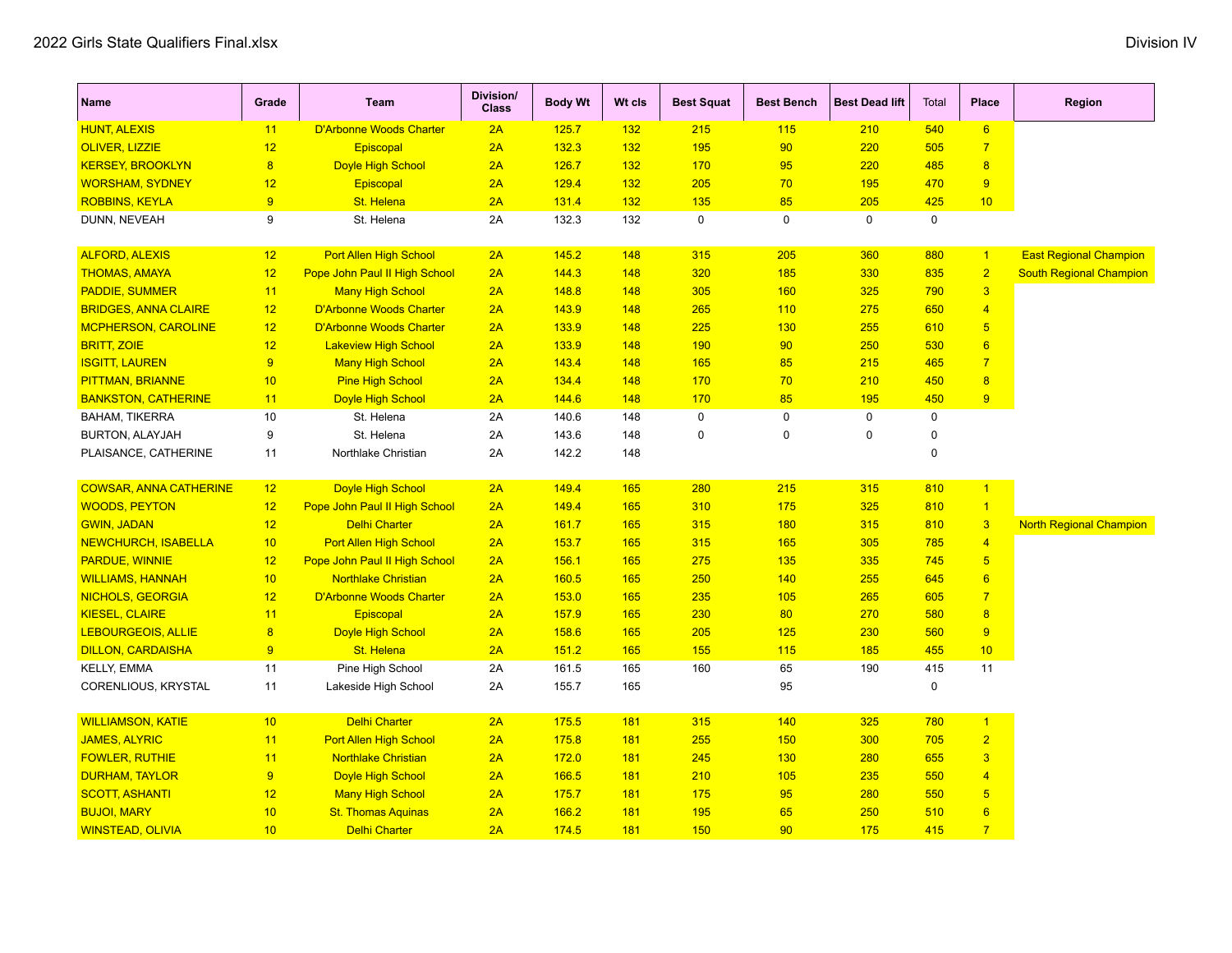| <b>Name</b>                   | Grade                   | Team                           | Division/<br><b>Class</b> | <b>Body Wt</b> | Wt cls | <b>Best Squat</b> | <b>Best Bench</b> | <b>Best Dead lift</b> | Total       | Place                   | <b>Region</b>                  |
|-------------------------------|-------------------------|--------------------------------|---------------------------|----------------|--------|-------------------|-------------------|-----------------------|-------------|-------------------------|--------------------------------|
| <b>HUNT, ALEXIS</b>           | 11                      | <b>D'Arbonne Woods Charter</b> | 2A                        | 125.7          | 132    | 215               | 115               | 210                   | 540         | 6                       |                                |
| <b>OLIVER, LIZZIE</b>         | 12                      | Episcopal                      | 2A                        | 132.3          | 132    | 195               | 90                | 220                   | 505         | $\overline{7}$          |                                |
| <b>KERSEY, BROOKLYN</b>       | $\overline{8}$          | <b>Doyle High School</b>       | 2A                        | 126.7          | 132    | 170               | 95                | 220                   | 485         | 8                       |                                |
| <b>WORSHAM, SYDNEY</b>        | 12                      | Episcopal                      | 2A                        | 129.4          | 132    | 205               | 70                | 195                   | 470         | 9                       |                                |
| <b>ROBBINS, KEYLA</b>         | 9                       | St. Helena                     | 2A                        | 131.4          | 132    | 135               | 85                | 205                   | 425         | 10                      |                                |
| DUNN, NEVEAH                  | 9                       | St. Helena                     | 2A                        | 132.3          | 132    | $\mathbf 0$       | $\mathbf 0$       | $\mathbf 0$           | $\mathbf 0$ |                         |                                |
| <b>ALFORD, ALEXIS</b>         | 12                      | Port Allen High School         | 2A                        | 145.2          | 148    | 315               | 205               | 360                   | 880         | $\vert$ 1               | <b>East Regional Champion</b>  |
| <b>THOMAS, AMAYA</b>          | 12                      | Pope John Paul II High School  | 2A                        | 144.3          | 148    | 320               | 185               | 330                   | 835         | $\overline{2}$          | <b>South Regional Champion</b> |
| <b>PADDIE, SUMMER</b>         | 11                      | <b>Many High School</b>        | 2A                        | 148.8          | 148    | 305               | 160               | 325                   | 790         | $\overline{\mathbf{3}}$ |                                |
| <b>BRIDGES, ANNA CLAIRE</b>   | 12                      | <b>D'Arbonne Woods Charter</b> | 2A                        | 143.9          | 148    | 265               | 110               | 275                   | 650         | $\overline{4}$          |                                |
| <b>MCPHERSON, CAROLINE</b>    | 12                      | <b>D'Arbonne Woods Charter</b> | 2A                        | 133.9          | 148    | 225               | 130               | 255                   | 610         | 5 <sup>5</sup>          |                                |
| <b>BRITT, ZOIE</b>            | 12                      | <b>Lakeview High School</b>    | 2A                        | 133.9          | 148    | 190               | 90                | 250                   | 530         | 6                       |                                |
| <b>ISGITT, LAUREN</b>         | $\overline{9}$          | <b>Many High School</b>        | 2A                        | 143.4          | 148    | 165               | 85                | 215                   | 465         | $\overline{7}$          |                                |
| <b>PITTMAN, BRIANNE</b>       | 10                      | <b>Pine High School</b>        | 2A                        | 134.4          | 148    | 170               | 70                | 210                   | 450         | $\boldsymbol{8}$        |                                |
| <b>BANKSTON, CATHERINE</b>    | 11                      | <b>Doyle High School</b>       | 2A                        | 144.6          | 148    | 170               | 85                | 195                   | 450         | 9                       |                                |
| <b>BAHAM, TIKERRA</b>         | 10                      | St. Helena                     | 2A                        | 140.6          | 148    | $\mathbf 0$       | $\mathbf 0$       | $\mathbf 0$           | 0           |                         |                                |
| <b>BURTON, ALAYJAH</b>        | 9                       | St. Helena                     | 2A                        | 143.6          | 148    | $\Omega$          | $\Omega$          | $\Omega$              | 0           |                         |                                |
| PLAISANCE, CATHERINE          | 11                      | Northlake Christian            | 2A                        | 142.2          | 148    |                   |                   |                       | $\Omega$    |                         |                                |
| <b>COWSAR, ANNA CATHERINE</b> | 12                      | Doyle High School              | 2A                        | 149.4          | 165    | 280               | 215               | 315                   | 810         | $\blacktriangleleft$    |                                |
| <b>WOODS, PEYTON</b>          | 12                      | Pope John Paul II High School  | 2A                        | 149.4          | 165    | 310               | 175               | 325                   | 810         | $\vert$ 1               |                                |
| <b>GWIN, JADAN</b>            | 12                      | <b>Delhi Charter</b>           | 2A                        | 161.7          | 165    | 315               | 180               | 315                   | 810         | $\overline{3}$          | <b>North Regional Champion</b> |
| <b>NEWCHURCH, ISABELLA</b>    | 10                      | <b>Port Allen High School</b>  | 2A                        | 153.7          | 165    | 315               | 165               | 305                   | 785         | $\overline{4}$          |                                |
| <b>PARDUE, WINNIE</b>         | 12                      | Pope John Paul II High School  | 2A                        | 156.1          | 165    | 275               | 135               | 335                   | 745         | $5\overline{)}$         |                                |
| <b>WILLIAMS, HANNAH</b>       | 10                      | <b>Northlake Christian</b>     | 2A                        | 160.5          | 165    | 250               | 140               | 255                   | 645         | $6\overline{6}$         |                                |
| <b>NICHOLS, GEORGIA</b>       | 12                      | <b>D'Arbonne Woods Charter</b> | 2A                        | 153.0          | 165    | 235               | 105               | 265                   | 605         | $\overline{7}$          |                                |
| <b>KIESEL, CLAIRE</b>         | 11                      | <b>Episcopal</b>               | 2A                        | 157.9          | 165    | 230               | 80                | 270                   | 580         | 8                       |                                |
| <b>LEBOURGEOIS, ALLIE</b>     | $\overline{\mathbf{8}}$ | <b>Doyle High School</b>       | 2A                        | 158.6          | 165    | 205               | 125               | 230                   | 560         | 9                       |                                |
| <b>DILLON, CARDAISHA</b>      | 9                       | St. Helena                     | 2A                        | 151.2          | 165    | 155               | 115               | 185                   | 455         | 10                      |                                |
| KELLY, EMMA                   | 11                      | Pine High School               | 2A                        | 161.5          | 165    | 160               | 65                | 190                   | 415         | 11                      |                                |
| CORENLIOUS, KRYSTAL           | 11                      | Lakeside High School           | 2A                        | 155.7          | 165    |                   | 95                |                       | 0           |                         |                                |
| <b>WILLIAMSON, KATIE</b>      | 10                      | <b>Delhi Charter</b>           | 2A                        | 175.5          | 181    | 315               | 140               | 325                   | 780         | $\overline{1}$          |                                |
| <b>JAMES, ALYRIC</b>          | 11                      | <b>Port Allen High School</b>  | 2A                        | 175.8          | 181    | 255               | 150               | 300                   | 705         | $\overline{2}$          |                                |
| <b>FOWLER, RUTHIE</b>         | 11                      | <b>Northlake Christian</b>     | 2A                        | 172.0          | 181    | 245               | 130               | 280                   | 655         | $\overline{3}$          |                                |
| <b>DURHAM, TAYLOR</b>         | 9                       | <b>Doyle High School</b>       | 2A                        | 166.5          | 181    | 210               | 105               | 235                   | 550         | $\overline{4}$          |                                |
| <b>SCOTT, ASHANTI</b>         | 12                      | <b>Many High School</b>        | 2A                        | 175.7          | 181    | 175               | 95                | 280                   | 550         | $5\phantom{.0}$         |                                |
| <b>BUJOI, MARY</b>            | 10                      | <b>St. Thomas Aquinas</b>      | 2A                        | 166.2          | 181    | 195               | 65                | 250                   | 510         | 6                       |                                |
| <b>WINSTEAD, OLIVIA</b>       | 10                      | <b>Delhi Charter</b>           | 2A                        | 174.5          | 181    | 150               | 90                | 175                   | 415         | $\overline{7}$          |                                |